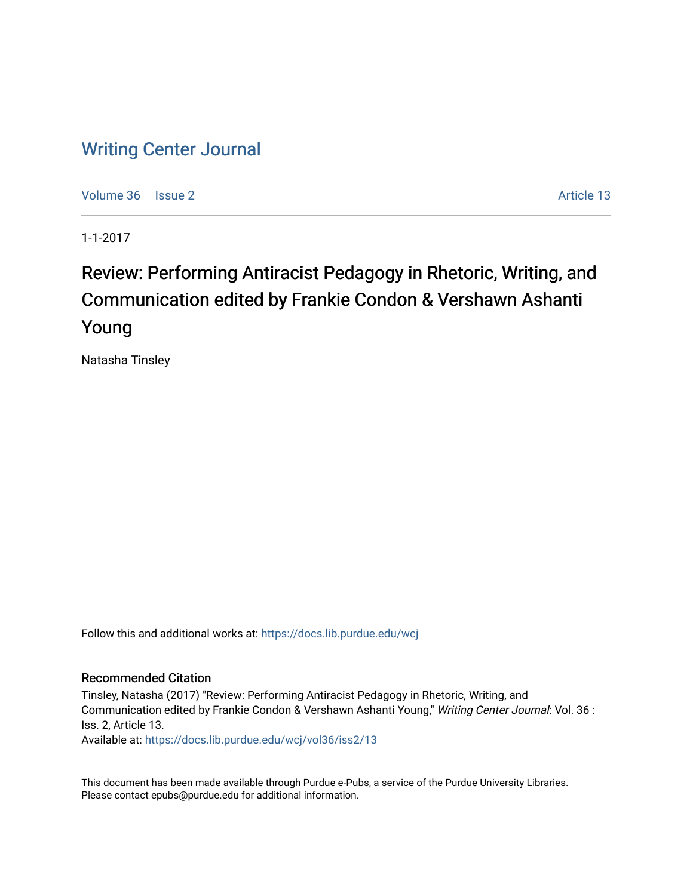## [Writing Center Journal](https://docs.lib.purdue.edu/wcj)

[Volume 36](https://docs.lib.purdue.edu/wcj/vol36) | [Issue 2](https://docs.lib.purdue.edu/wcj/vol36/iss2) Article 13

1-1-2017

## Review: Performing Antiracist Pedagogy in Rhetoric, Writing, and Communication edited by Frankie Condon & Vershawn Ashanti Young

Natasha Tinsley

Follow this and additional works at: [https://docs.lib.purdue.edu/wcj](https://docs.lib.purdue.edu/wcj?utm_source=docs.lib.purdue.edu%2Fwcj%2Fvol36%2Fiss2%2F13&utm_medium=PDF&utm_campaign=PDFCoverPages) 

## Recommended Citation

Tinsley, Natasha (2017) "Review: Performing Antiracist Pedagogy in Rhetoric, Writing, and Communication edited by Frankie Condon & Vershawn Ashanti Young," Writing Center Journal: Vol. 36 : Iss. 2, Article 13.

Available at: [https://docs.lib.purdue.edu/wcj/vol36/iss2/13](https://docs.lib.purdue.edu/wcj/vol36/iss2/13?utm_source=docs.lib.purdue.edu%2Fwcj%2Fvol36%2Fiss2%2F13&utm_medium=PDF&utm_campaign=PDFCoverPages)

This document has been made available through Purdue e-Pubs, a service of the Purdue University Libraries. Please contact epubs@purdue.edu for additional information.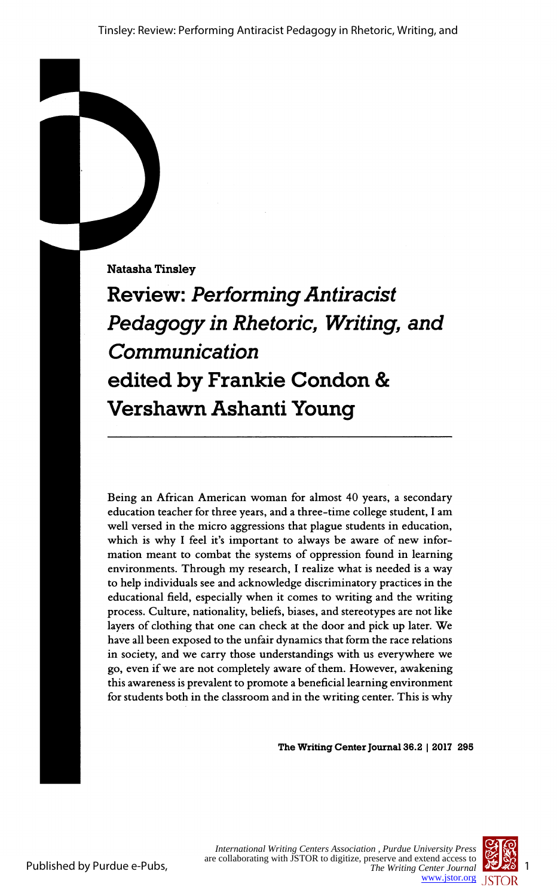Natasha Tinsley

 Review: Performing Antiracist Pedagogy in Rhetoric, Writing, and **Communication**  edited by Frankie Condon & Vershawn Ashanti Young

 Being an African American woman for almost 40 years, a secondary education teacher for three years, and a three-time college student, I am well versed in the micro aggressions that plague students in education, which is why I feel it's important to always be aware of new infor mation meant to combat the systems of oppression found in learning environments. Through my research, I realize what is needed is a way to help individuals see and acknowledge discriminatory practices in the educational field, especially when it comes to writing and the writing process. Culture, nationality, beliefs, biases, and stereotypes are not like layers of clothing that one can check at the door and pick up later. We have all been exposed to the unfair dynamics that form the race relations in society, and we carry those understandings with us everywhere we go, even if we are not completely aware of them. However, awakening this awareness is prevalent to promote a beneficial learning environment for students both in the classroom and in the writing center. This is why

The Writing Center Journal 36.2 | 2017 295

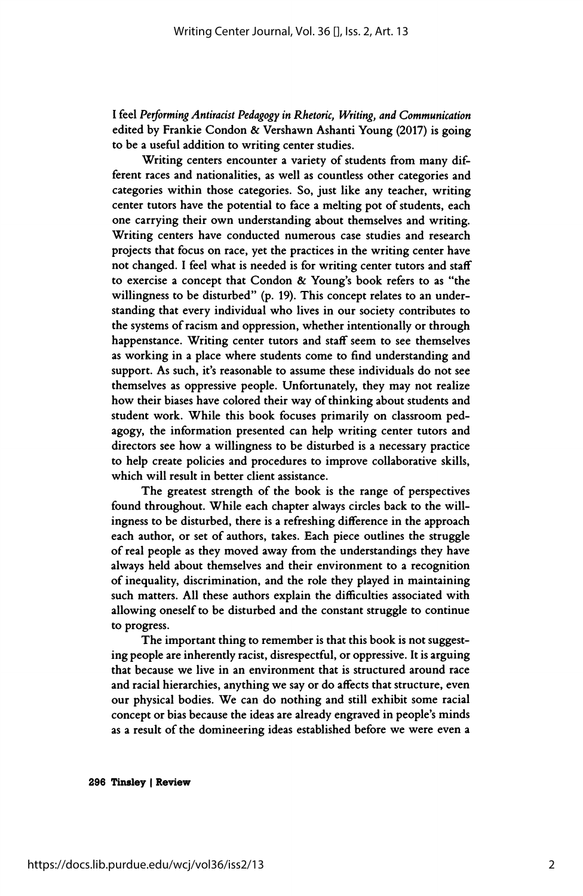I feel Performing Antiracist Pedagogy in Rhetoric, Writing, and Communication edited by Frankie Condon & Vershawn Ashanti Young (2017) is going to be a useful addition to writing center studies.

 Writing centers encounter a variety of students from many dif ferent races and nationalities, as well as countless other categories and categories within those categories. So, just like any teacher, writing center tutors have the potential to face a melting pot of students, each one carrying their own understanding about themselves and writing. Writing centers have conducted numerous case studies and research projects that focus on race, yet the practices in the writing center have not changed. I feel what is needed is for writing center tutors and staff to exercise a concept that Condon & Young's book refers to as "the willingness to be disturbed" (p. 19). This concept relates to an under standing that every individual who lives in our society contributes to the systems of racism and oppression, whether intentionally or through happenstance. Writing center tutors and staff seem to see themselves as working in a place where students come to find understanding and support. As such, it's reasonable to assume these individuals do not see themselves as oppressive people. Unfortunately, they may not realize how their biases have colored their way of thinking about students and student work. While this book focuses primarily on classroom ped agogy, the information presented can help writing center tutors and directors see how a willingness to be disturbed is a necessary practice to help create policies and procedures to improve collaborative skills, which will result in better client assistance.

 The greatest strength of the book is the range of perspectives found throughout. While each chapter always circles back to the will ingness to be disturbed, there is a refreshing difference in the approach each author, or set of authors, takes. Each piece outlines the struggle of real people as they moved away from the understandings they have always held about themselves and their environment to a recognition of inequality, discrimination, and the role they played in maintaining such matters. All these authors explain the difficulties associated with allowing oneself to be disturbed and the constant struggle to continue to progress.

 The important thing to remember is that this book is not suggest ing people are inherently racist, disrespectful, or oppressive. It is arguing that because we live in an environment that is structured around race and racial hierarchies, anything we say or do affects that structure, even our physical bodies. We can do nothing and still exhibit some racial concept or bias because the ideas are already engraved in people's minds as a result of the domineering ideas established before we were even a

296 Tinsley | Review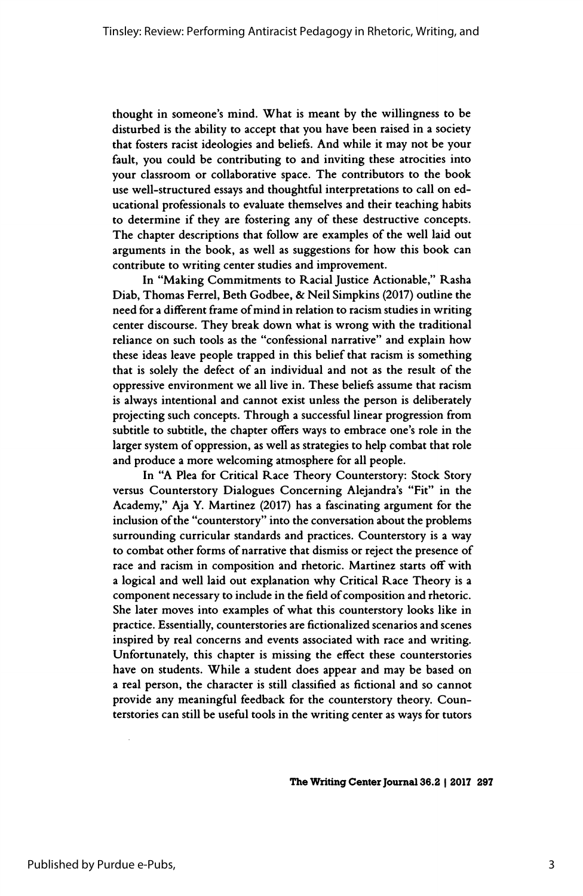thought in someone's mind. What is meant by the willingness to be disturbed is the ability to accept that you have been raised in a society that fosters racist ideologies and beliefs. And while it may not be your fault, you could be contributing to and inviting these atrocities into your classroom or collaborative space. The contributors to the book use well-structured essays and thoughtful interpretations to call on ed ucational professionals to evaluate themselves and their teaching habits to determine if they are fostering any of these destructive concepts. The chapter descriptions that follow are examples of the well laid out arguments in the book, as well as suggestions for how this book can contribute to writing center studies and improvement.

 In "Making Commitments to Racial Justice Actionable," Rasha Diab, Thomas Ferrei, Beth Godbee, & Neil Simpkins (2017) outline the need for a different frame of mind in relation to racism studies in writing center discourse. They break down what is wrong with the traditional reliance on such tools as the "confessional narrative" and explain how these ideas leave people trapped in this belief that racism is something that is solely the defect of an individual and not as the result of the oppressive environment we all live in. These beliefs assume that racism is always intentional and cannot exist unless the person is deliberately projecting such concepts. Through a successful linear progression from subtitle to subtitle, the chapter offers ways to embrace one's role in the larger system of oppression, as well as strategies to help combat that role and produce a more welcoming atmosphere for all people.

 In "A Plea for Critical Race Theory Counterstory: Stock Story versus Counterstory Dialogues Concerning Alejandra's "Fit" in the Academy," Aja Y. Martinez (2017) has a fascinating argument for the inclusion of the "counterstory" into the conversation about the problems surrounding curricular standards and practices. Counterstory is a way to combat other forms of narrative that dismiss or reject the presence of race and racism in composition and rhetoric. Martinez starts off with a logical and well laid out explanation why Critical Race Theory is a component necessary to include in the field of composition and rhetoric. She later moves into examples of what this counterstory looks like in practice. Essentially, counterstories are fictionalized scenarios and scenes inspired by real concerns and events associated with race and writing. Unfortunately, this chapter is missing the effect these counterstories have on students. While a student does appear and may be based on a real person, the character is still classified as fictional and so cannot provide any meaningful feedback for the counterstory theory. Coun terstories can still be useful tools in the writing center as ways for tutors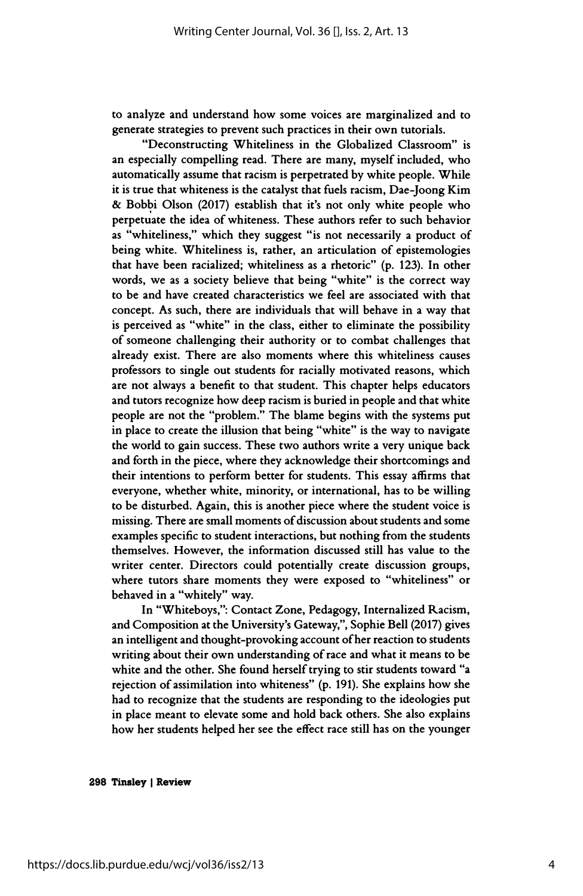to analyze and understand how some voices are marginalized and to generate strategies to prevent such practices in their own tutorials.

 "Deconstructing Whiteliness in the Globalized Classroom" is an especially compelling read. There are many, myself included, who automatically assume that racism is perpetrated by white people. While it is true that whiteness is the catalyst that fuels racism, Dae-Joong Kim & Bobbi Olson (2017) establish that it's not only white people who perpetuate the idea of whiteness. These authors refer to such behavior as "whiteliness," which they suggest "is not necessarily a product of being white. Whiteliness is, rather, an articulation of epistemologies that have been racialized; whiteliness as a rhetoric" (p. 123). In other words, we as a society believe that being "white" is the correct way to be and have created characteristics we feel are associated with that concept. As such, there are individuals that will behave in a way that is perceived as "white" in the class, either to eliminate the possibility of someone challenging their authority or to combat challenges that already exist. There are also moments where this whiteliness causes professors to single out students for racially motivated reasons, which are not always a benefit to that student. This chapter helps educators and tutors recognize how deep racism is buried in people and that white people are not the "problem." The blame begins with the systems put in place to create the illusion that being "white" is the way to navigate the world to gain success. These two authors write a very unique back and forth in the piece, where they acknowledge their shortcomings and their intentions to perform better for students. This essay affirms that everyone, whether white, minority, or international, has to be willing to be disturbed. Again, this is another piece where the student voice is missing. There are small moments of discussion about students and some examples specific to student interactions, but nothing from the students themselves. However, the information discussed still has value to the writer center. Directors could potentially create discussion groups, where tutors share moments they were exposed to "whiteliness" or behaved in a "whitely" way.

 In "Whiteboys,": Contact Zone, Pedagogy, Internalized Racism, and Composition at the University's Gateway,", Sophie Bell (2017) gives an intelligent and thought-provoking account of her reaction to students writing about their own understanding of race and what it means to be white and the other. She found herself trying to stir students toward "a rejection of assimilation into whiteness" (p. 191). She explains how she had to recognize that the students are responding to the ideologies put in place meant to elevate some and hold back others. She also explains how her students helped her see the effect race still has on the younger

298 Tinsley | Review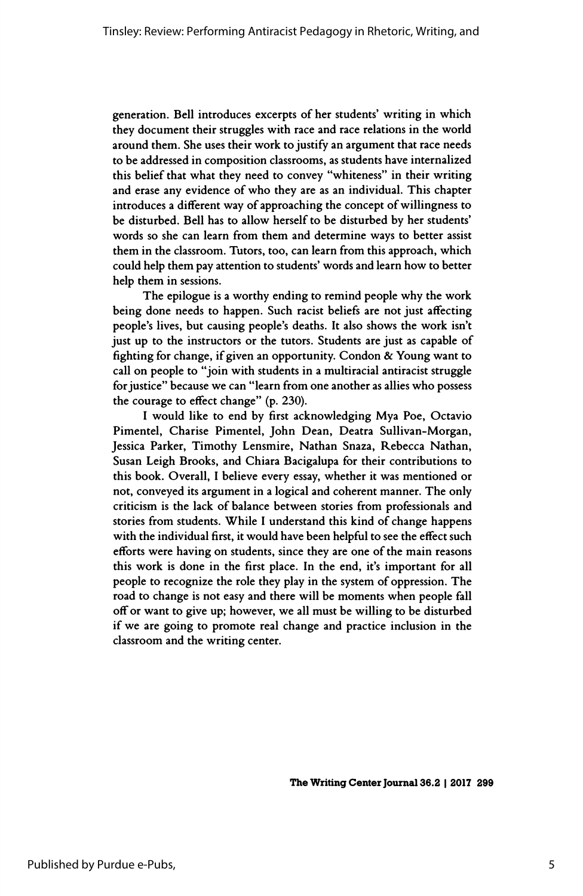generation. Bell introduces excerpts of her students' writing in which they document their struggles with race and race relations in the world around them. She uses their work to justify an argument that race needs to be addressed in composition classrooms, as students have internalized this belief that what they need to convey "whiteness" in their writing and erase any evidence of who they are as an individual. This chapter introduces a different way of approaching the concept of willingness to be disturbed. Bell has to allow herself to be disturbed by her students' words so she can learn from them and determine ways to better assist them in the classroom. Tutors, too, can learn from this approach, which could help them pay attention to students' words and learn how to better help them in sessions.

 The epilogue is a worthy ending to remind people why the work being done needs to happen. Such racist beliefs are not just affecting people's lives, but causing people's deaths. It also shows the work isn't just up to the instructors or the tutors. Students are just as capable of fighting for change, if given an opportunity. Condon & Young want to call on people to "join with students in a multiracial antiracist struggle for justice" because we can "learn from one another as allies who possess the courage to effect change" (p. 230).

 I would like to end by first acknowledging Mya Poe, Octavio Pimentel, Charise Pimentel, John Dean, Deatra Sullivan-Morgan, Jessica Parker, Timothy Lensmire, Nathan Snaza, Rebecca Nathan, Susan Leigh Brooks, and Chiara Bacigalupa for their contributions to this book. Overall, I believe every essay, whether it was mentioned or not, conveyed its argument in a logical and coherent manner. The only criticism is the lack of balance between stories from professionals and stories from students. While I understand this kind of change happens with the individual first, it would have been helpful to see the effect such efforts were having on students, since they are one of the main reasons this work is done in the first place. In the end, it's important for all people to recognize the role they play in the system of oppression. The road to change is not easy and there will be moments when people fall off or want to give up; however, we all must be willing to be disturbed if we are going to promote real change and practice inclusion in the classroom and the writing center.